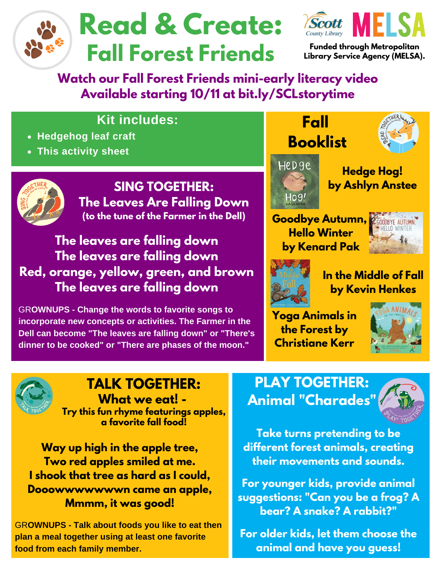



**Funded through Metropolitan Library Service Agency (MELSA).**

### **Watch our Fall Forest Friends mini-early literacy video Available starting 10/11 at bit.ly/SCLstorytime**

### **Kit includes:**

- **Hedgehog leaf craft**
- **This activity sheet**



**The leaves are falling down The leaves are falling down Red, orange, yellow, green, and brown The leaves are falling down**

GR**OWNUPS - Change the words to favorite songs to incorporate new concepts or activities. The Farmer in the Dell can become "The leaves are falling down" or "There's dinner to be cooked" or "There are phases of the moon."**



Ho9!

**Fall**



**Hedge Hog! by Ashlyn Anstee**

**Goodbye Autumn, COODBYE AUTUMN Hello Winter by Kenard Pak**





**In the Middle of Fall by Kevin Henkes**

**Yoga Animals in the Forest by Christiane Kerr**





#### **TALK TOGETHER: What we eat! -**

**Try this fun rhyme featurings apples, a favorite fall food!**

**Way up high in the apple tree, Two red apples smiled at me. I shook that tree as hard as I could, Dooowwwwwwwn came an apple, Mmmm, it was good!**

GR**OWNUPS - Talk about foods you like to eat then plan a meal together using at least one favorite food from each family member.**

# **PLAY TOGETHER: Animal "Charades"**



**Take turns pretending to be different forest animals, creating their movements and sounds.**

**For younger kids, provide animal suggestions: "Can you be a frog? A bear? A snake? A rabbit?"**

**For older kids, let them choose the animal and have you guess!**